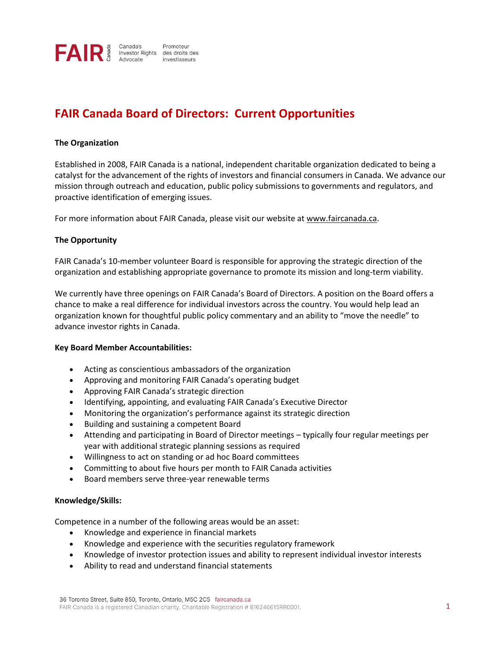

# **FAIR Canada Board of Directors: Current Opportunities**

# **The Organization**

Established in 2008, FAIR Canada is a national, independent charitable organization dedicated to being a catalyst for the advancement of the rights of investors and financial consumers in Canada. We advance our mission through outreach and education, public policy submissions to governments and regulators, and proactive identification of emerging issues.

For more information about FAIR Canada, please visit our website at [www.faircanada.ca.](http://www.faircanada.ca/)

# **The Opportunity**

FAIR Canada's 10-member volunteer Board is responsible for approving the strategic direction of the organization and establishing appropriate governance to promote its mission and long-term viability.

We currently have three openings on FAIR Canada's Board of Directors. A position on the Board offers a chance to make a real difference for individual investors across the country. You would help lead an organization known for thoughtful public policy commentary and an ability to "move the needle" to advance investor rights in Canada.

#### **Key Board Member Accountabilities:**

- Acting as conscientious ambassadors of the organization
- Approving and monitoring FAIR Canada's operating budget
- Approving FAIR Canada's strategic direction
- Identifying, appointing, and evaluating FAIR Canada's Executive Director
- Monitoring the organization's performance against its strategic direction
- Building and sustaining a competent Board
- Attending and participating in Board of Director meetings typically four regular meetings per year with additional strategic planning sessions as required
- Willingness to act on standing or ad hoc Board committees
- Committing to about five hours per month to FAIR Canada activities
- Board members serve three-year renewable terms

#### **Knowledge/Skills:**

Competence in a number of the following areas would be an asset:

- Knowledge and experience in financial markets
- Knowledge and experience with the securities regulatory framework
- Knowledge of investor protection issues and ability to represent individual investor interests
- Ability to read and understand financial statements